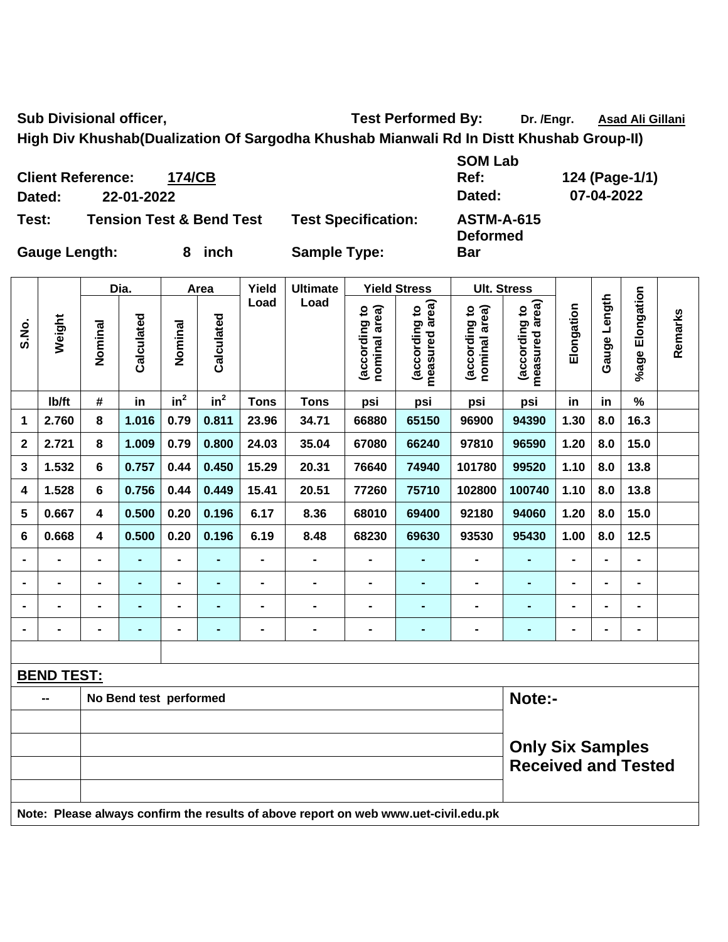Sub Divisional officer, Test Performed By: Dr. /Engr. Asad Ali Gillani

**Bar** 

**Ref: 124 (Page-1/1)** 

**High Div Khushab(Dualization Of Sargodha Khushab Mianwali Rd In Distt Khushab Group-II)** 

|        | <b>Client Reference:</b><br>174/CB  |                            | <b>SOM Lab</b><br>Ref:               | 124 (Page-1/ |
|--------|-------------------------------------|----------------------------|--------------------------------------|--------------|
| Dated: | 22-01-2022                          |                            | Dated:                               | 07-04-2022   |
| Test:  | <b>Tension Test &amp; Bend Test</b> | <b>Test Specification:</b> | <b>ASTM-A-615</b><br><b>Deformed</b> |              |

Gauge Length: 8 inch Sample Type:

|                |                   |                         | Dia.           |                | Area            | Yield          | <b>Ultimate</b> |                                | <b>Yield Stress</b>                |                                | <b>Ult. Stress</b>                           |                |                 |                    |         |
|----------------|-------------------|-------------------------|----------------|----------------|-----------------|----------------|-----------------|--------------------------------|------------------------------------|--------------------------------|----------------------------------------------|----------------|-----------------|--------------------|---------|
| S.No.          | Weight            | Nominal                 | Calculated     | Nominal        | Calculated      | Load           | Load            | (according to<br>nominal area) | area)<br>(according to<br>measured | (according to<br>nominal area) | measured area)<br>$\mathbf{S}$<br>(according | Elongation     | Length<br>Gauge | Elongation<br>%age | Remarks |
|                | lb/ft             | #                       | in             | $in^2$         | in <sup>2</sup> | <b>Tons</b>    | <b>Tons</b>     | psi                            | psi                                | psi                            | psi                                          | in             | in              | $\%$               |         |
| 1              | 2.760             | 8                       | 1.016          | 0.79           | 0.811           | 23.96          | 34.71           | 66880                          | 65150                              | 96900                          | 94390                                        | 1.30           | 8.0             | 16.3               |         |
| $\mathbf{2}$   | 2.721             | 8                       | 1.009          | 0.79           | 0.800           | 24.03          | 35.04           | 67080                          | 66240                              | 97810                          | 96590                                        | 1.20           | 8.0             | 15.0               |         |
| 3              | 1.532             | 6                       | 0.757          | 0.44           | 0.450           | 15.29          | 20.31           | 76640                          | 74940                              | 101780                         | 99520                                        | 1.10           | 8.0             | 13.8               |         |
| 4              | 1.528             | 6                       | 0.756          | 0.44           | 0.449           | 15.41          | 20.51           | 77260                          | 75710                              | 102800                         | 100740                                       | 1.10           | 8.0             | 13.8               |         |
| 5              | 0.667             | $\overline{\mathbf{4}}$ | 0.500          | 0.20           | 0.196           | 6.17           | 8.36            | 68010                          | 69400                              | 92180                          | 94060                                        | 1.20           | 8.0             | 15.0               |         |
| 6              | 0.668             | 4                       | 0.500          | 0.20           | 0.196           | 6.19           | 8.48            | 68230                          | 69630                              | 93530                          | 95430                                        | 1.00           | 8.0             | 12.5               |         |
| $\blacksquare$ | $\blacksquare$    | $\blacksquare$          | ۰              | $\blacksquare$ | $\blacksquare$  | $\blacksquare$ | $\blacksquare$  | $\blacksquare$                 | $\blacksquare$                     | $\blacksquare$                 | ٠                                            | $\blacksquare$ | $\blacksquare$  | $\blacksquare$     |         |
| $\blacksquare$ | -                 | $\blacksquare$          | ۰              | $\blacksquare$ | $\blacksquare$  | $\blacksquare$ | $\blacksquare$  | $\blacksquare$                 | $\blacksquare$                     | $\blacksquare$                 | ٠                                            | $\blacksquare$ | $\blacksquare$  | $\blacksquare$     |         |
| $\blacksquare$ |                   | $\blacksquare$          | $\blacksquare$ | $\blacksquare$ | $\blacksquare$  | $\blacksquare$ | $\blacksquare$  | $\blacksquare$                 | $\blacksquare$                     | $\blacksquare$                 | $\blacksquare$                               | $\blacksquare$ | $\blacksquare$  | $\blacksquare$     |         |
| $\blacksquare$ | -                 | $\blacksquare$          | $\blacksquare$ | ۰              | $\blacksquare$  | $\blacksquare$ | $\blacksquare$  | $\blacksquare$                 | $\blacksquare$                     | $\blacksquare$                 | ٠                                            | $\blacksquare$ | $\blacksquare$  | $\blacksquare$     |         |
|                |                   |                         |                |                |                 |                |                 |                                |                                    |                                |                                              |                |                 |                    |         |
|                | <b>BEND TEST:</b> |                         |                |                |                 |                |                 |                                |                                    |                                |                                              |                |                 |                    |         |

| No Bend test performed                                                              | Note:-                     |
|-------------------------------------------------------------------------------------|----------------------------|
|                                                                                     |                            |
|                                                                                     | <b>Only Six Samples</b>    |
|                                                                                     | <b>Received and Tested</b> |
|                                                                                     |                            |
| Note: Please always confirm the results of above report on web www.uet-civil.edu.pk |                            |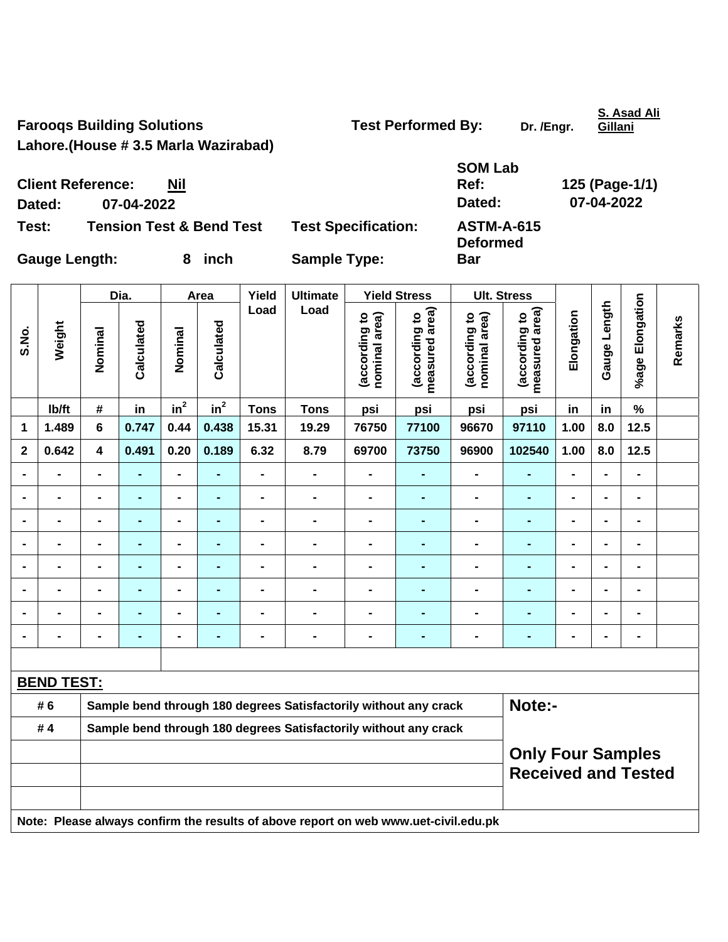Farooqs Building Solutions **Test Performed By:** Dr. /Engr.

**S. Asad Ali Gillani**

**Lahore.(House # 3.5 Marla Wazirabad)** 

| <b>Client Reference:</b><br>Dated: | <b>Nil</b><br>07-04-2022            |        |                            | <b>SOM Lab</b><br>Ref:<br>Dated:     | 125 (Page-1/1)<br>07-04-2022 |
|------------------------------------|-------------------------------------|--------|----------------------------|--------------------------------------|------------------------------|
| Test:                              | <b>Tension Test &amp; Bend Test</b> |        | <b>Test Specification:</b> | <b>ASTM-A-615</b><br><b>Deformed</b> |                              |
| <b>Gauge Length:</b>               |                                     | 8 inch | <b>Sample Type:</b>        | <b>Bar</b>                           |                              |

|                |                                                                                     |                                                                            | Dia.           |                              | Area            | Yield                        | <b>Ultimate</b> |                                | <b>Yield Stress</b>             |                                | <b>Ult. Stress</b>              |                |                |                 |         |
|----------------|-------------------------------------------------------------------------------------|----------------------------------------------------------------------------|----------------|------------------------------|-----------------|------------------------------|-----------------|--------------------------------|---------------------------------|--------------------------------|---------------------------------|----------------|----------------|-----------------|---------|
| S.No.          | Weight                                                                              | Nominal                                                                    | Calculated     | Nominal                      | Calculated      | Load                         | Load            | (according to<br>nominal area) | measured area)<br>(according to | nominal area)<br>(according to | measured area)<br>(according to | Elongation     | Gauge Length   | %age Elongation | Remarks |
|                | Ib/ft                                                                               | $\#$                                                                       | in             | in <sup>2</sup>              | in <sup>2</sup> | <b>Tons</b>                  | <b>Tons</b>     | psi                            | psi                             | psi                            | psi                             | in             | in             | $\%$            |         |
| 1              | 1.489                                                                               | 6                                                                          | 0.747          | 0.44                         | 0.438           | 15.31                        | 19.29           | 76750                          | 77100                           | 96670                          | 97110                           | 1.00           | 8.0            | 12.5            |         |
| $\mathbf 2$    | 0.642                                                                               | 4                                                                          | 0.491          | 0.20                         | 0.189           | 6.32                         | 8.79            | 69700                          | 73750                           | 96900                          | 102540                          | 1.00           | 8.0            | 12.5            |         |
|                | $\blacksquare$                                                                      |                                                                            |                | $\blacksquare$               |                 | $\blacksquare$               | $\blacksquare$  | $\blacksquare$                 |                                 |                                | $\blacksquare$                  | $\blacksquare$ |                | $\blacksquare$  |         |
|                | $\blacksquare$                                                                      | $\blacksquare$                                                             | $\blacksquare$ | $\qquad \qquad \blacksquare$ | $\blacksquare$  | $\blacksquare$               | $\blacksquare$  | $\blacksquare$                 | ۰                               | $\blacksquare$                 | $\blacksquare$                  | $\blacksquare$ | ۰              | $\blacksquare$  |         |
| $\blacksquare$ | $\blacksquare$                                                                      | $\blacksquare$                                                             | ٠              | $\blacksquare$               | $\blacksquare$  | $\blacksquare$               | $\blacksquare$  | $\blacksquare$                 | $\blacksquare$                  | $\blacksquare$                 | $\blacksquare$                  | $\blacksquare$ | $\overline{a}$ | $\blacksquare$  |         |
|                | $\blacksquare$                                                                      | $\blacksquare$                                                             | ۰              | $\qquad \qquad \blacksquare$ | -               | $\qquad \qquad \blacksquare$ | $\blacksquare$  | $\blacksquare$                 | $\blacksquare$                  | $\blacksquare$                 | $\blacksquare$                  | $\blacksquare$ |                | $\blacksquare$  |         |
|                | $\blacksquare$                                                                      | $\blacksquare$                                                             | ٠              | $\qquad \qquad \blacksquare$ | ۰               | $\qquad \qquad \blacksquare$ | $\blacksquare$  | $\blacksquare$                 | $\blacksquare$                  | $\blacksquare$                 | $\blacksquare$                  | $\blacksquare$ | ۰              | ۰               |         |
|                | $\blacksquare$                                                                      |                                                                            | $\blacksquare$ | $\blacksquare$               | ۰               | $\blacksquare$               | $\blacksquare$  | $\blacksquare$                 | $\blacksquare$                  | $\blacksquare$                 | ÷,                              |                |                | $\blacksquare$  |         |
|                |                                                                                     |                                                                            |                | $\blacksquare$               |                 |                              |                 |                                |                                 |                                | ۰                               |                |                |                 |         |
|                | $\blacksquare$                                                                      | $\blacksquare$                                                             | $\blacksquare$ | $\blacksquare$               | $\blacksquare$  | $\blacksquare$               | $\blacksquare$  | $\blacksquare$                 | $\blacksquare$                  | $\blacksquare$                 | $\blacksquare$                  | $\blacksquare$ |                | $\blacksquare$  |         |
|                |                                                                                     |                                                                            |                |                              |                 |                              |                 |                                |                                 |                                |                                 |                |                |                 |         |
|                | <b>BEND TEST:</b>                                                                   |                                                                            |                |                              |                 |                              |                 |                                |                                 |                                |                                 |                |                |                 |         |
|                | # 6                                                                                 | Sample bend through 180 degrees Satisfactorily without any crack<br>Note:- |                |                              |                 |                              |                 |                                |                                 |                                |                                 |                |                |                 |         |
|                | #4                                                                                  | Sample bend through 180 degrees Satisfactorily without any crack           |                |                              |                 |                              |                 |                                |                                 |                                |                                 |                |                |                 |         |
|                |                                                                                     | <b>Only Four Samples</b><br><b>Received and Tested</b>                     |                |                              |                 |                              |                 |                                |                                 |                                |                                 |                |                |                 |         |
|                | Note: Please always confirm the results of above report on web www.uet-civil.edu.pk |                                                                            |                |                              |                 |                              |                 |                                |                                 |                                |                                 |                |                |                 |         |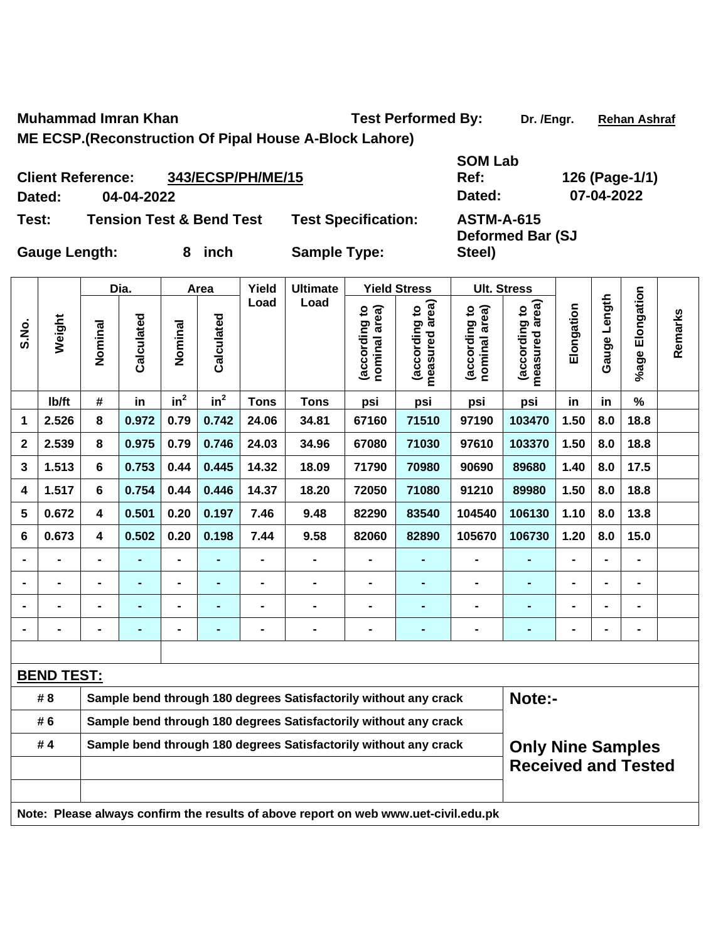**Muhammad Imran Khan**  Test Performed By: Dr. /Engr. Rehan Ashraf

**ME ECSP.(Reconstruction Of Pipal House A-Block Lahore)** 

| <b>Client Reference:</b>                     |            | 343/ECSP/PH/ME/15          |                     | Ref:                    | 126 (Page-1/ |
|----------------------------------------------|------------|----------------------------|---------------------|-------------------------|--------------|
| Dated:                                       | 04-04-2022 |                            |                     | Dated:                  | 07-04-2022   |
| <b>Tension Test &amp; Bend Test</b><br>Test: |            | <b>Test Specification:</b> | <b>ASTM-A-615</b>   |                         |              |
|                                              |            |                            |                     | <b>Deformed Bar (SJ</b> |              |
| <b>Gauge Length:</b>                         |            | inch                       | <b>Sample Type:</b> | Steel)                  |              |

**SOM Lab Ref: 126 (Page-1/1)**  rme

|                     | 07-04-2022 |  |
|---------------------|------------|--|
| \-615<br>ed Bar (SJ |            |  |
|                     |            |  |

| <b>Gauge Length:</b><br>8 inch | <b>Sample Type:</b> |
|--------------------------------|---------------------|
|--------------------------------|---------------------|

|                |                   |                         | Dia.           |                 | Area           | Yield          | <b>Ultimate</b>                                                                     |                                | <b>Yield Stress</b>                                                                          | <b>Ult. Stress</b>             |                                 |                |                |                 |         |
|----------------|-------------------|-------------------------|----------------|-----------------|----------------|----------------|-------------------------------------------------------------------------------------|--------------------------------|----------------------------------------------------------------------------------------------|--------------------------------|---------------------------------|----------------|----------------|-----------------|---------|
| S.No.          | Weight            | Nominal                 | Calculated     | Nominal         | Calculated     | Load           | Load                                                                                | nominal area)<br>(according to | measured area)<br>(according to                                                              | nominal area)<br>(according to | measured area)<br>(according to | Elongation     | Gauge Length   | %age Elongation | Remarks |
|                | lb/ft             | #                       | in             | in <sup>2</sup> | $in^2$         | <b>Tons</b>    | <b>Tons</b>                                                                         | psi                            | psi                                                                                          | psi                            | psi                             | in             | in             | %               |         |
| 1              | 2.526             | 8                       | 0.972          | 0.79            | 0.742          | 24.06          | 34.81                                                                               | 67160                          | 71510                                                                                        | 97190                          | 103470                          | 1.50           | 8.0            | 18.8            |         |
| $\mathbf{2}$   | 2.539             | 8                       | 0.975          | 0.79            | 0.746          | 24.03          | 34.96                                                                               | 67080                          | 71030                                                                                        | 97610                          | 103370                          | 1.50           | 8.0            | 18.8            |         |
| 3              | 1.513             | 6                       | 0.753          | 0.44            | 0.445          | 14.32          | 18.09                                                                               | 71790                          | 70980                                                                                        | 90690                          | 89680                           | 1.40           | 8.0            | 17.5            |         |
| 4              | 1.517             | 6                       | 0.754          | 0.44            | 0.446          | 14.37          | 18.20                                                                               | 72050                          | 71080                                                                                        | 91210                          | 89980                           | 1.50           | 8.0            | 18.8            |         |
| 5              | 0.672             | $\overline{\mathbf{4}}$ | 0.501          | 0.20            | 0.197          | 7.46           | 9.48                                                                                | 82290                          | 83540                                                                                        | 104540                         | 106130                          | 1.10           | 8.0            | 13.8            |         |
| 6              | 0.673             | 4                       | 0.502          | 0.20            | 0.198          | 7.44           | 9.58                                                                                | 82060                          | 82890                                                                                        | 105670                         | 106730                          | 1.20           | 8.0            | 15.0            |         |
|                | $\blacksquare$    | -                       | $\blacksquare$ | $\blacksquare$  | ۰              | $\blacksquare$ | $\blacksquare$                                                                      | $\blacksquare$                 | $\blacksquare$                                                                               | $\blacksquare$                 | ÷,                              | $\blacksquare$ | $\blacksquare$ | $\blacksquare$  |         |
| $\blacksquare$ | $\blacksquare$    | $\blacksquare$          | $\blacksquare$ | $\blacksquare$  | $\blacksquare$ | $\blacksquare$ | $\blacksquare$                                                                      | $\blacksquare$                 | $\blacksquare$                                                                               | $\blacksquare$                 | ÷,                              | $\blacksquare$ | $\blacksquare$ | $\blacksquare$  |         |
|                |                   | $\blacksquare$          | $\blacksquare$ | $\blacksquare$  | $\blacksquare$ |                | $\blacksquare$                                                                      | $\blacksquare$                 | $\blacksquare$                                                                               | $\blacksquare$                 | -                               | $\blacksquare$ |                | $\blacksquare$  |         |
|                | $\blacksquare$    | $\blacksquare$          | $\blacksquare$ | $\blacksquare$  | $\blacksquare$ | $\blacksquare$ | $\blacksquare$                                                                      | $\blacksquare$                 | $\blacksquare$                                                                               | $\blacksquare$                 | ٠                               | $\blacksquare$ |                | $\blacksquare$  |         |
|                |                   |                         |                |                 |                |                |                                                                                     |                                |                                                                                              |                                |                                 |                |                |                 |         |
|                | <b>BEND TEST:</b> |                         |                |                 |                |                |                                                                                     |                                |                                                                                              |                                |                                 |                |                |                 |         |
|                | # 8               |                         |                |                 |                |                | Sample bend through 180 degrees Satisfactorily without any crack                    |                                |                                                                                              |                                | Note:-                          |                |                |                 |         |
|                | #6                |                         |                |                 |                |                | Sample bend through 180 degrees Satisfactorily without any crack                    |                                |                                                                                              |                                |                                 |                |                |                 |         |
|                | #4                |                         |                |                 |                |                |                                                                                     |                                | Sample bend through 180 degrees Satisfactorily without any crack<br><b>Only Nine Samples</b> |                                |                                 |                |                |                 |         |
|                |                   |                         |                |                 |                |                |                                                                                     |                                |                                                                                              |                                | <b>Received and Tested</b>      |                |                |                 |         |
|                |                   |                         |                |                 |                |                |                                                                                     |                                |                                                                                              |                                |                                 |                |                |                 |         |
|                |                   |                         |                |                 |                |                | Note: Please always confirm the results of above report on web www.uet-civil.edu.pk |                                |                                                                                              |                                |                                 |                |                |                 |         |
|                |                   |                         |                |                 |                |                |                                                                                     |                                |                                                                                              |                                |                                 |                |                |                 |         |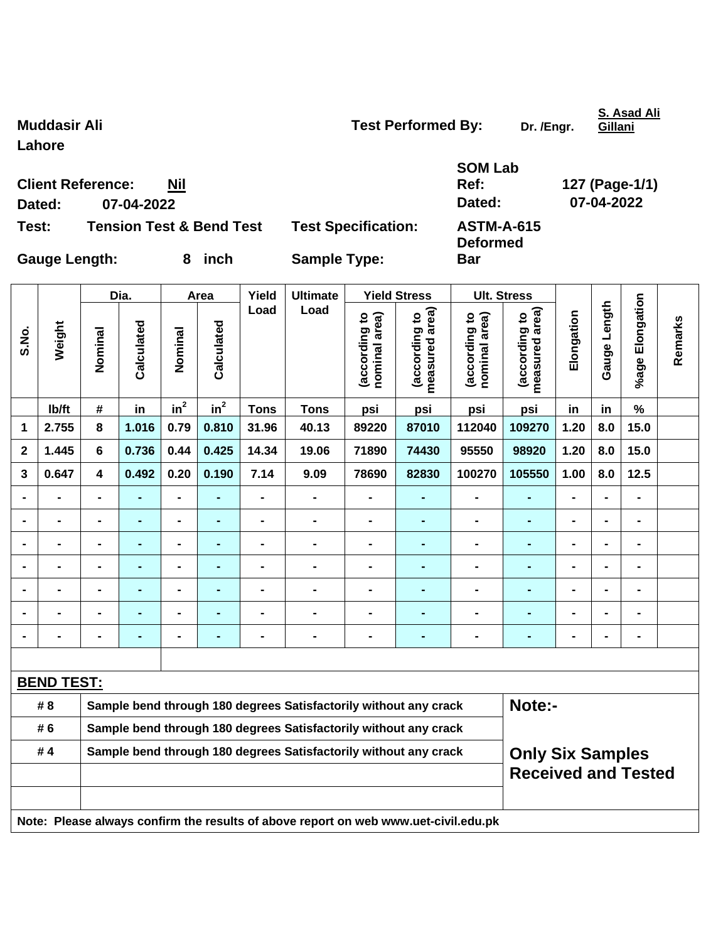|              | Dated:               | Dated:<br>07-04-2022                                                                                                      |                |                |                                      |                |                                                                  |                                |                                |                                | 07-04-2022                      |                |                |                 |         |
|--------------|----------------------|---------------------------------------------------------------------------------------------------------------------------|----------------|----------------|--------------------------------------|----------------|------------------------------------------------------------------|--------------------------------|--------------------------------|--------------------------------|---------------------------------|----------------|----------------|-----------------|---------|
| Test:        |                      | <b>Tension Test &amp; Bend Test</b><br><b>Test Specification:</b>                                                         |                |                | <b>ASTM-A-615</b><br><b>Deformed</b> |                |                                                                  |                                |                                |                                |                                 |                |                |                 |         |
|              | <b>Gauge Length:</b> |                                                                                                                           |                |                | 8 inch                               |                | <b>Sample Type:</b><br><b>Bar</b>                                |                                |                                |                                |                                 |                |                |                 |         |
|              |                      |                                                                                                                           | Dia.           |                | Area                                 | Yield          | <b>Ultimate</b>                                                  |                                | <b>Yield Stress</b>            | <b>Ult. Stress</b>             |                                 |                |                |                 |         |
| S.No.        | Weight               | Nominal                                                                                                                   | Calculated     | Nominal        | Calculated                           | Load           | Load                                                             | (according to<br>nominal area) | measured area<br>(according to | (according to<br>nominal area) | (according to<br>measured area) | Elongation     | Gauge Length   | %age Elongation | Remarks |
|              | lb/ft                | $\#$                                                                                                                      | in             | $in^2$         | $in^2$                               | <b>Tons</b>    | <b>Tons</b>                                                      | psi                            | psi                            | psi                            | psi                             | in             | in             | $\%$            |         |
| 1            | 2.755                | 8                                                                                                                         | 1.016          | 0.79           | 0.810                                | 31.96          | 40.13                                                            | 89220                          | 87010                          | 112040                         | 109270                          | 1.20           | 8.0            | 15.0            |         |
| $\mathbf{2}$ | 1.445                | $\bf 6$                                                                                                                   | 0.736          | 0.44           | 0.425                                | 14.34          | 19.06                                                            | 71890                          | 74430                          | 95550                          | 98920                           | 1.20           | 8.0            | 15.0            |         |
| $\mathbf{3}$ | 0.647                | 4                                                                                                                         | 0.492          | 0.20           | 0.190                                | 7.14           | 9.09                                                             | 78690                          | 82830                          | 100270                         | 105550                          | 1.00           | 8.0            | 12.5            |         |
|              |                      |                                                                                                                           |                |                | ٠                                    |                |                                                                  |                                |                                |                                |                                 |                |                |                 |         |
|              |                      |                                                                                                                           |                | ۰              | $\blacksquare$                       |                | -                                                                | $\blacksquare$                 |                                |                                |                                 | $\blacksquare$ |                |                 |         |
|              |                      | $\blacksquare$                                                                                                            |                | -              | ٠                                    | $\blacksquare$ | -                                                                | $\blacksquare$                 | $\blacksquare$                 |                                |                                 | $\blacksquare$ | $\blacksquare$ |                 |         |
|              |                      | $\blacksquare$                                                                                                            | $\blacksquare$ | $\blacksquare$ | $\blacksquare$                       |                | -                                                                | $\blacksquare$                 | -                              |                                |                                 | $\blacksquare$ | $\blacksquare$ | $\blacksquare$  |         |
|              |                      |                                                                                                                           |                | $\blacksquare$ |                                      |                |                                                                  |                                |                                |                                |                                 |                |                |                 |         |
|              |                      |                                                                                                                           |                |                |                                      |                |                                                                  |                                |                                |                                |                                 | $\blacksquare$ |                |                 |         |
|              |                      |                                                                                                                           |                | $\blacksquare$ | -                                    | $\blacksquare$ | -                                                                | $\blacksquare$                 |                                |                                |                                 | $\blacksquare$ | $\blacksquare$ | $\blacksquare$  |         |
|              |                      |                                                                                                                           |                |                |                                      |                |                                                                  |                                |                                |                                |                                 |                |                |                 |         |
|              | <b>BEND TEST:</b>    |                                                                                                                           |                |                |                                      |                |                                                                  |                                |                                |                                |                                 |                |                |                 |         |
|              | # 8                  |                                                                                                                           |                |                |                                      |                | Sample bend through 180 degrees Satisfactorily without any crack |                                |                                |                                | Note:-                          |                |                |                 |         |
|              | # 6                  | Sample bend through 180 degrees Satisfactorily without any crack                                                          |                |                |                                      |                |                                                                  |                                |                                |                                |                                 |                |                |                 |         |
|              | #4                   | Sample bend through 180 degrees Satisfactorily without any crack<br><b>Only Six Samples</b><br><b>Received and Tested</b> |                |                |                                      |                |                                                                  |                                |                                |                                |                                 |                |                |                 |         |
|              |                      |                                                                                                                           |                |                |                                      |                |                                                                  |                                |                                |                                |                                 |                |                |                 |         |
|              |                      | Note: Please always confirm the results of above report on web www.uet-civil.edu.pk                                       |                |                |                                      |                |                                                                  |                                |                                |                                |                                 |                |                |                 |         |

**Muddasir Ali Muddasir Ali Test Performed By:** Dr. /Engr.

**Lahore** 

**Client Reference: Nil**

**S. Asad Ali Gillani**

**Ref: 127 (Page-1/1)** 

**SOM Lab**